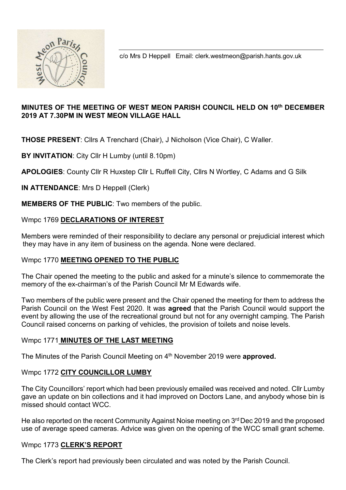

c/o Mrs D Heppell Email: clerk.westmeon@parish.hants.gov.uk

# MINUTES OF THE MEETING OF WEST MEON PARISH COUNCIL HELD ON 10th DECEMBER 2019 AT 7.30PM IN WEST MEON VILLAGE HALL

THOSE PRESENT: Cllrs A Trenchard (Chair), J Nicholson (Vice Chair), C Waller.

BY INVITATION: City Cllr H Lumby (until 8.10pm)

APOLOGIES: County Cllr R Huxstep Cllr L Ruffell City, Cllrs N Wortley, C Adams and G Silk

IN ATTENDANCE: Mrs D Heppell (Clerk)

MEMBERS OF THE PUBLIC: Two members of the public.

# Wmpc 1769 DECLARATIONS OF INTEREST

Members were reminded of their responsibility to declare any personal or prejudicial interest which they may have in any item of business on the agenda. None were declared.

# Wmpc 1770 MEETING OPENED TO THE PUBLIC

The Chair opened the meeting to the public and asked for a minute's silence to commemorate the memory of the ex-chairman's of the Parish Council Mr M Edwards wife.

Two members of the public were present and the Chair opened the meeting for them to address the Parish Council on the West Fest 2020. It was **agreed** that the Parish Council would support the event by allowing the use of the recreational ground but not for any overnight camping. The Parish Council raised concerns on parking of vehicles, the provision of toilets and noise levels.

# Wmpc 1771 MINUTES OF THE LAST MEETING

The Minutes of the Parish Council Meeting on 4<sup>th</sup> November 2019 were approved.

# Wmpc 1772 CITY COUNCILLOR LUMBY

The City Councillors' report which had been previously emailed was received and noted. Cllr Lumby gave an update on bin collections and it had improved on Doctors Lane, and anybody whose bin is missed should contact WCC.

He also reported on the recent Community Against Noise meeting on 3<sup>rd</sup> Dec 2019 and the proposed use of average speed cameras. Advice was given on the opening of the WCC small grant scheme.

# Wmpc 1773 CLERK'S REPORT

The Clerk's report had previously been circulated and was noted by the Parish Council.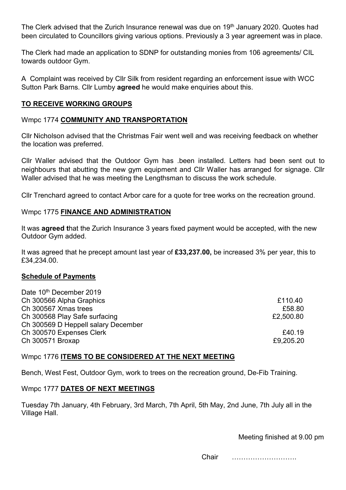The Clerk advised that the Zurich Insurance renewal was due on 19<sup>th</sup> January 2020. Quotes had been circulated to Councillors giving various options. Previously a 3 year agreement was in place.

The Clerk had made an application to SDNP for outstanding monies from 106 agreements/ CIL towards outdoor Gym.

A Complaint was received by Cllr Silk from resident regarding an enforcement issue with WCC Sutton Park Barns. Cllr Lumby agreed he would make enquiries about this.

## TO RECEIVE WORKING GROUPS

## Wmpc 1774 COMMUNITY AND TRANSPORTATION

Cllr Nicholson advised that the Christmas Fair went well and was receiving feedback on whether the location was preferred.

Cllr Waller advised that the Outdoor Gym has .been installed. Letters had been sent out to neighbours that abutting the new gym equipment and Cllr Waller has arranged for signage. Cllr Waller advised that he was meeting the Lengthsman to discuss the work schedule.

Cllr Trenchard agreed to contact Arbor care for a quote for tree works on the recreation ground.

## Wmpc 1775 FINANCE AND ADMINISTRATION

It was **agreed that the Zurich Insurance 3 years fixed payment would be accepted, with the new** Outdoor Gym added.

It was agreed that he precept amount last year of £33,237.00, be increased 3% per year, this to £34,234.00.

#### Schedule of Payments

 $\overline{D}$   $\overline{D}$  10th  $\overline{D}$  2019  $\overline{D}$  2019  $\overline{D}$ 

| Date 10" December 2019              |           |
|-------------------------------------|-----------|
| Ch 300566 Alpha Graphics            | £110.40   |
| Ch 300567 Xmas trees                | £58.80    |
| Ch 300568 Play Safe surfacing       | £2,500.80 |
| Ch 300569 D Heppell salary December |           |
| Ch 300570 Expenses Clerk            | £40.19    |
| Ch 300571 Broxap                    | £9,205.20 |
|                                     |           |

#### Wmpc 1776 ITEMS TO BE CONSIDERED AT THE NEXT MEETING

Bench, West Fest, Outdoor Gym, work to trees on the recreation ground, De-Fib Training.

#### Wmpc 1777 DATES OF NEXT MEETINGS

Tuesday 7th January, 4th February, 3rd March, 7th April, 5th May, 2nd June, 7th July all in the Village Hall.

Meeting finished at 9.00 pm

Chair ……………………….